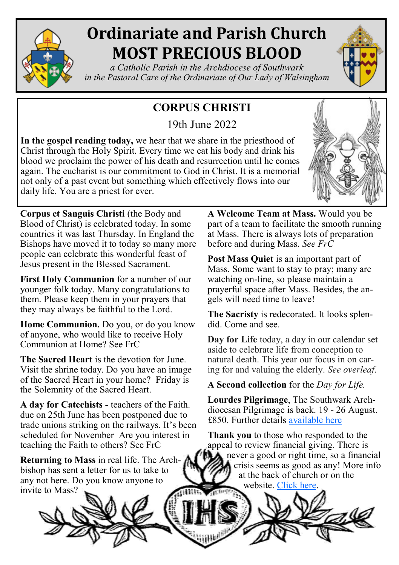

# **Ordinariate and Parish Church MOST PRECIOUS BLOOD**

*a Catholic Parish in the Archdiocese of Southwark in the Pastoral Care of the Ordinariate of Our Lady of Walsingham*

# **CORPUS CHRISTI**

19th June 2022

**In the gospel reading today,** we hear that we share in the priesthood of Christ through the Holy Spirit. Every time we eat his body and drink his blood we proclaim the power of his death and resurrection until he comes again. The eucharist is our commitment to God in Christ. It is a memorial not only of a past event but something which effectively flows into our daily life. You are a priest for ever.



**Corpus et Sanguis Christi** (the Body and Blood of Christ) is celebrated today. In some countries it was last Thursday. In England the Bishops have moved it to today so many more people can celebrate this wonderful feast of Jesus present in the Blessed Sacrament.

**First Holy Communion** for a number of our younger folk today. Many congratulations to them. Please keep them in your prayers that they may always be faithful to the Lord.

**Home Communion.** Do you, or do you know of anyone, who would like to receive Holy Communion at Home? See FrC

**The Sacred Heart** is the devotion for June. Visit the shrine today. Do you have an image of the Sacred Heart in your home? Friday is the Solemnity of the Sacred Heart.

**A day for Catechists -** teachers of the Faith. due on 25th June has been postponed due to trade unions striking on the railways. It's been scheduled for November Are you interest in teaching the Faith to others? See FrC

**Returning to Mass** in real life. The Archbishop has sent a letter for us to take to any not here. Do you know anyone to invite to Mass?

**A Welcome Team at Mass.** Would you be part of a team to facilitate the smooth running at Mass. There is always lots of preparation before and during Mass. *See FrC* 

Post Mass **Quiet** is an important part of Mass. Some want to stay to pray; many are watching on-line, so please maintain a prayerful space after Mass. Besides, the angels will need time to leave!

**The Sacristy** is redecorated. It looks splendid. Come and see.

**Day for Life** today, a day in our calendar set aside to celebrate life from conception to natural death. This year our focus in on caring for and valuing the elderly. *See overleaf*.

**A Second collection** for the *Day for Life.*

**Lourdes Pilgrimage**, The Southwark Archdiocesan Pilgrimage is back. 19 - 26 August. £850. Further details [available here](https://www.tangney-tours.com/pilgrimages/lourdes/catholic-association)

**Thank you** to those who responded to the appeal to review financial giving. There is  $\Box$  never a good or right time, so a financial crisis seems as good as any! More info at the back of church or on the website. [Click here.](https://www.preciousblood.org.uk/supportus.html)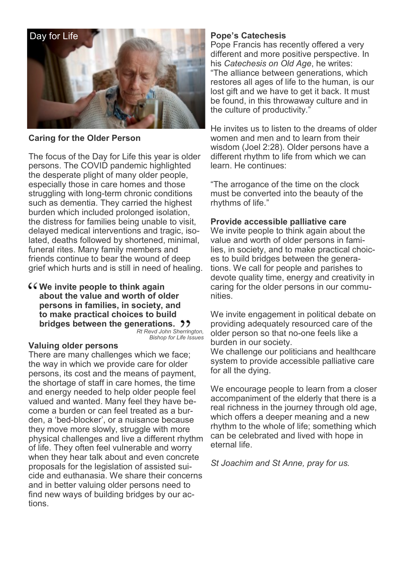

### **Caring for the Older Person**

The focus of the Day for Life this year is older persons. The COVID pandemic highlighted the desperate plight of many older people, especially those in care homes and those struggling with long-term chronic conditions such as dementia. They carried the highest burden which included prolonged isolation, the distress for families being unable to visit, delayed medical interventions and tragic, isolated, deaths followed by shortened, minimal, funeral rites. Many family members and friends continue to bear the wound of deep grief which hurts and is still in need of healing.

**We invite people to think again about the value and worth of older persons in families, in society, and to make practical choices to build bridges between the generations.** <sup>1</sup>

*Rt Revd John Sherrington, Bishop for Life Issues*

#### **Valuing older persons**

There are many challenges which we face; the way in which we provide care for older persons, its cost and the means of payment, the shortage of staff in care homes, the time and energy needed to help older people feel valued and wanted. Many feel they have become a burden or can feel treated as a burden, a 'bed-blocker', or a nuisance because they move more slowly, struggle with more physical challenges and live a different rhythm of life. They often feel vulnerable and worry when they hear talk about and even concrete proposals for the legislation of assisted suicide and euthanasia. We share their concerns and in better valuing older persons need to find new ways of building bridges by our actions.

## **Pope's Catechesis**

Pope Francis has recently offered a very different and more positive perspective. In his *Catechesis on Old Age*, he writes: "The alliance between generations, which restores all ages of life to the human, is our lost gift and we have to get it back. It must be found, in this throwaway culture and in the culture of productivity."

He invites us to listen to the dreams of older women and men and to learn from their wisdom (Joel 2:28). Older persons have a different rhythm to life from which we can learn. He continues:

"The arrogance of the time on the clock must be converted into the beauty of the rhythms of life."

#### **Provide accessible palliative care**

We invite people to think again about the value and worth of older persons in families, in society, and to make practical choices to build bridges between the generations. We call for people and parishes to devote quality time, energy and creativity in caring for the older persons in our communities.

We invite engagement in political debate on providing adequately resourced care of the older person so that no-one feels like a burden in our society.

We challenge our politicians and healthcare system to provide accessible palliative care for all the dying.

We encourage people to learn from a closer accompaniment of the elderly that there is a real richness in the journey through old age, which offers a deeper meaning and a new rhythm to the whole of life; something which can be celebrated and lived with hope in eternal life.

*St Joachim and St Anne, pray for us.*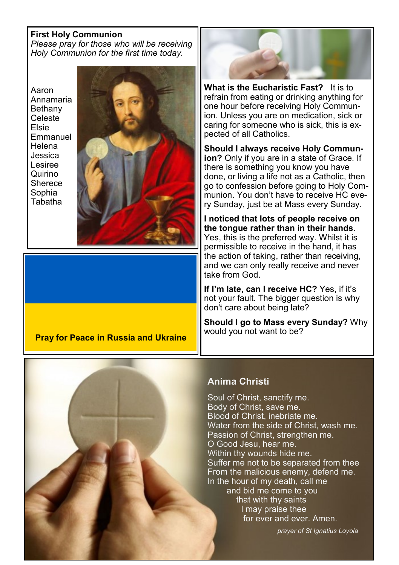#### **First Holy Communion**

*Please pray for those who will be receiving Holy Communion for the first time today.*



**Pray for Peace in Russia and Ukraine**



**What is the Eucharistic Fast?** It is to refrain from eating or drinking anything for one hour before receiving Holy Communion. Unless you are on medication, sick or caring for someone who is sick, this is expected of all Catholics.

**Should I always receive Holy Communion?** Only if you are in a state of Grace. If there is something you know you have done, or living a life not as a Catholic, then go to confession before going to Holy Communion. You don't have to receive HC every Sunday, just be at Mass every Sunday.

**I noticed that lots of people receive on the tongue rather than in their hands**. Yes, this is the preferred way. Whilst it is permissible to receive in the hand, it has the action of taking, rather than receiving, and we can only really receive and never take from God.

**If I'm late, can I receive HC?** Yes, if it's not your fault. The bigger question is why don't care about being late?

**Should I go to Mass every Sunday?** Why would you not want to be?

# **Anima Christi**

Soul of Christ, sanctify me. Body of Christ, save me. Blood of Christ, inebriate me. Water from the side of Christ, wash me. Passion of Christ, strengthen me. O Good Jesu, hear me. Within thy wounds hide me. Suffer me not to be separated from thee From the malicious enemy, defend me. In the hour of my death, call me and bid me come to you that with thy saints I may praise thee for ever and ever. Amen.

 *prayer of St Ignatius Loyola*